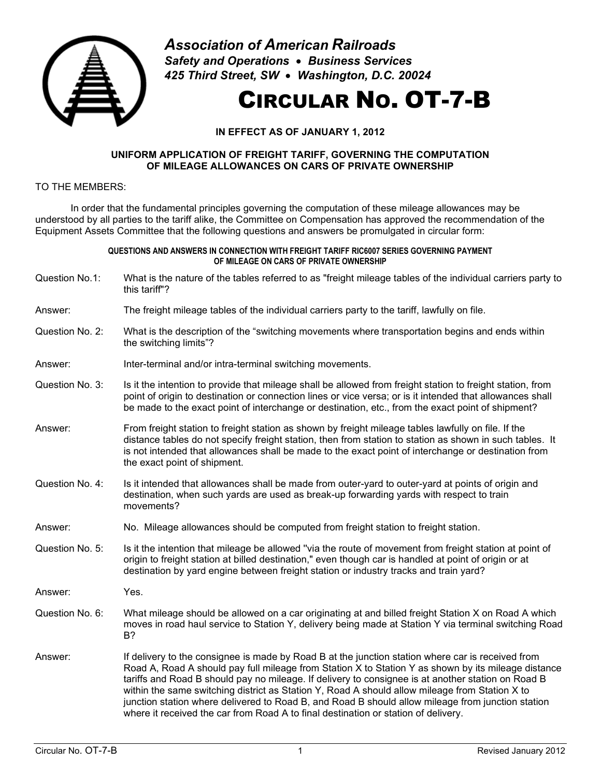

*Association of American Railroads Safety and Operations* • *Business Services 425 Third Street, SW* • *Washington, D.C. 20024*

# CIRCULAR NO. OT-7-B

## **IN EFFECT AS OF JANUARY 1, 2012**

#### **UNIFORM APPLICATION OF FREIGHT TARIFF, GOVERNING THE COMPUTATION OF MILEAGE ALLOWANCES ON CARS OF PRIVATE OWNERSHIP**

### TO THE MEMBERS:

In order that the fundamental principles governing the computation of these mileage allowances may be understood by all parties to the tariff alike, the Committee on Compensation has approved the recommendation of the Equipment Assets Committee that the following questions and answers be promulgated in circular form:

#### **QUESTIONS AND ANSWERS IN CONNECTION WITH FREIGHT TARIFF RIC6007 SERIES GOVERNING PAYMENT OF MILEAGE ON CARS OF PRIVATE OWNERSHIP**

Question No.1: What is the nature of the tables referred to as "freight mileage tables of the individual carriers party to this tariff"?

Answer: The freight mileage tables of the individual carriers party to the tariff, lawfully on file.

- Question No. 2: What is the description of the "switching movements where transportation begins and ends within the switching limits"?
- Answer: Inter-terminal and/or intra-terminal switching movements.
- Question No. 3: Is it the intention to provide that mileage shall be allowed from freight station to freight station, from point of origin to destination or connection lines or vice versa; or is it intended that allowances shall be made to the exact point of interchange or destination, etc., from the exact point of shipment?
- Answer: From freight station to freight station as shown by freight mileage tables lawfully on file. If the distance tables do not specify freight station, then from station to station as shown in such tables. It is not intended that allowances shall be made to the exact point of interchange or destination from the exact point of shipment.
- Question No. 4: Is it intended that allowances shall be made from outer-yard to outer-yard at points of origin and destination, when such yards are used as break-up forwarding yards with respect to train movements?
- Answer: No. Mileage allowances should be computed from freight station to freight station.
- Question No. 5: Is it the intention that mileage be allowed "via the route of movement from freight station at point of origin to freight station at billed destination," even though car is handled at point of origin or at destination by yard engine between freight station or industry tracks and train yard?
- Answer: Yes.
- Question No. 6: What mileage should be allowed on a car originating at and billed freight Station X on Road A which moves in road haul service to Station Y, delivery being made at Station Y via terminal switching Road B?
- Answer: If delivery to the consignee is made by Road B at the junction station where car is received from Road A, Road A should pay full mileage from Station X to Station Y as shown by its mileage distance tariffs and Road B should pay no mileage. If delivery to consignee is at another station on Road B within the same switching district as Station Y, Road A should allow mileage from Station X to junction station where delivered to Road B, and Road B should allow mileage from junction station where it received the car from Road A to final destination or station of delivery.